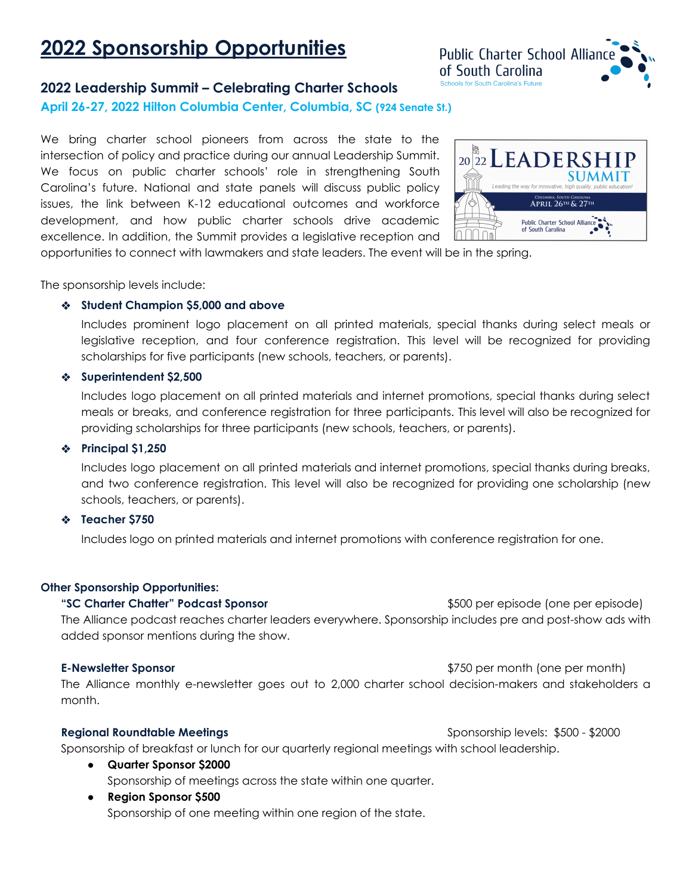# **2022 Sponsorship Opportunities**



### **2022 Leadership Summit – Celebrating Charter Schools**

**April 26-27, 2022 Hilton Columbia Center, Columbia, SC (924 Senate St.)**

We bring charter school pioneers from across the state to the intersection of policy and practice during our annual Leadership Summit. We focus on public charter schools' role in strengthening South Carolina's future. National and state panels will discuss public policy issues, the link between K-12 educational outcomes and workforce development, and how public charter schools drive academic excellence. In addition, the Summit provides a legislative reception and



opportunities to connect with lawmakers and state leaders. The event will be in the spring.

The sponsorship levels include:

#### ❖ **Student Champion \$5,000 and above**

Includes prominent logo placement on all printed materials, special thanks during select meals or legislative reception, and four conference registration. This level will be recognized for providing scholarships for five participants (new schools, teachers, or parents).

#### ❖ **Superintendent \$2,500**

Includes logo placement on all printed materials and internet promotions, special thanks during select meals or breaks, and conference registration for three participants. This level will also be recognized for providing scholarships for three participants (new schools, teachers, or parents).

#### ❖ **Principal \$1,250**

Includes logo placement on all printed materials and internet promotions, special thanks during breaks, and two conference registration. This level will also be recognized for providing one scholarship (new schools, teachers, or parents).

#### ❖ **Teacher \$750**

Includes logo on printed materials and internet promotions with conference registration for one.

#### **Other Sponsorship Opportunities:**

**"SC Charter Chatter" Podcast Sponsor** \$500 per episode (one per episode) The Alliance podcast reaches charter leaders everywhere. Sponsorship includes pre and post-show ads with added sponsor mentions during the show.

#### **E-Newsletter Sponsor because the spansor**  $\frac{1}{2}$  **\$750** per month (one per month)

The Alliance monthly e-newsletter goes out to 2,000 charter school decision-makers and stakeholders a month.

**Regional Roundtable Meetings** Sponsorship levels: \$500 - \$2000

Sponsorship of breakfast or lunch for our quarterly regional meetings with school leadership.

- **Quarter Sponsor \$2000** Sponsorship of meetings across the state within one quarter.
- **Region Sponsor \$500** Sponsorship of one meeting within one region of the state.